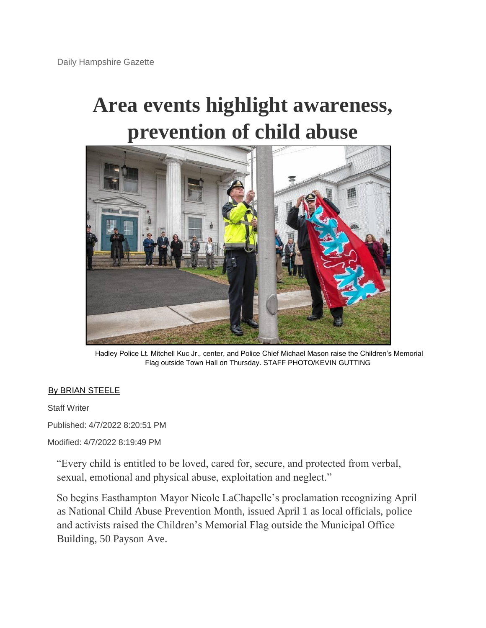## **Area events highlight awareness, prevention of child abuse**



Hadley Police Lt. Mitchell Kuc Jr., center, and Police Chief Michael Mason raise the Children's Memorial Flag outside Town Hall on Thursday. STAFF PHOTO/KEVIN GUTTING

## [By BRIAN STEELE](https://www.gazettenet.com/byline?byline=By%20BRIAN%20STEELE)

Staff Writer

Published: 4/7/2022 8:20:51 PM

Modified: 4/7/2022 8:19:49 PM

"Every child is entitled to be loved, cared for, secure, and protected from verbal, sexual, emotional and physical abuse, exploitation and neglect."

So begins Easthampton Mayor Nicole LaChapelle's proclamation recognizing April as National Child Abuse Prevention Month, issued April 1 as local officials, police and activists raised the Children's Memorial Flag outside the Municipal Office Building, 50 Payson Ave.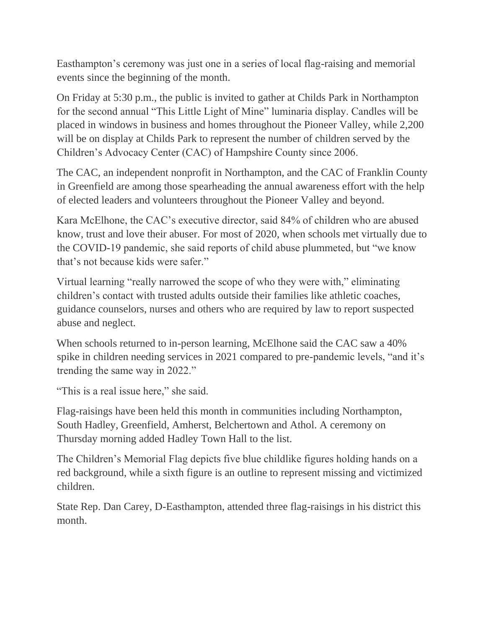Easthampton's ceremony was just one in a series of local flag-raising and memorial events since the beginning of the month.

On Friday at 5:30 p.m., the public is invited to gather at Childs Park in Northampton for the second annual "This Little Light of Mine" luminaria display. Candles will be placed in windows in business and homes throughout the Pioneer Valley, while 2,200 will be on display at Childs Park to represent the number of children served by the Children's Advocacy Center (CAC) of Hampshire County since 2006.

The CAC, an independent nonprofit in Northampton, and the CAC of Franklin County in Greenfield are among those spearheading the annual awareness effort with the help of elected leaders and volunteers throughout the Pioneer Valley and beyond.

Kara McElhone, the CAC's executive director, said 84% of children who are abused know, trust and love their abuser. For most of 2020, when schools met virtually due to the COVID-19 pandemic, she said reports of child abuse plummeted, but "we know that's not because kids were safer."

Virtual learning "really narrowed the scope of who they were with," eliminating children's contact with trusted adults outside their families like athletic coaches, guidance counselors, nurses and others who are required by law to report suspected abuse and neglect.

When schools returned to in-person learning, McElhone said the CAC saw a 40% spike in children needing services in 2021 compared to pre-pandemic levels, "and it's trending the same way in 2022."

"This is a real issue here," she said.

Flag-raisings have been held this month in communities including Northampton, South Hadley, Greenfield, Amherst, Belchertown and Athol. A ceremony on Thursday morning added Hadley Town Hall to the list.

The Children's Memorial Flag depicts five blue childlike figures holding hands on a red background, while a sixth figure is an outline to represent missing and victimized children.

State Rep. Dan Carey, D-Easthampton, attended three flag-raisings in his district this month.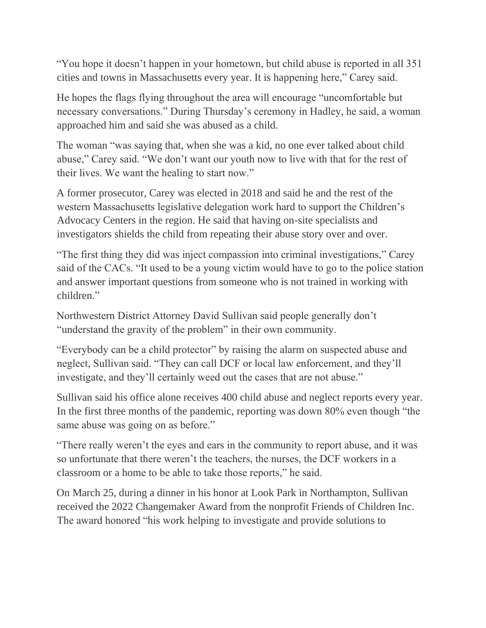"You hope it doesn't happen in your hometown, but child abuse is reported in all 351 cities and towns in Massachusetts every year. It is happening here," Carey said.

He hopes the flags flying throughout the area will encourage "uncomfortable but necessary conversations." During Thursday's ceremony in Hadley, he said, a woman approached him and said she was abused as a child.

The woman "was saying that, when she was a kid, no one ever talked about child abuse," Carey said. "We don't want our youth now to live with that for the rest of their lives. We want the healing to start now."

A former prosecutor, Carey was elected in 2018 and said he and the rest of the western Massachusetts legislative delegation work hard to support the Children's Advocacy Centers in the region. He said that having on-site specialists and investigators shields the child from repeating their abuse story over and over.

"The first thing they did was inject compassion into criminal investigations," Carey said of the CACs. "It used to be a young victim would have to go to the police station and answer important questions from someone who is not trained in working with children."

Northwestern District Attorney David Sullivan said people generally don't "understand the gravity of the problem" in their own community.

"Everybody can be a child protector" by raising the alarm on suspected abuse and neglect, Sullivan said. "They can call DCF or local law enforcement, and they'll investigate, and they'll certainly weed out the cases that are not abuse."

Sullivan said his office alone receives 400 child abuse and neglect reports every year. In the first three months of the pandemic, reporting was down 80% even though "the same abuse was going on as before."

"There really weren't the eyes and ears in the community to report abuse, and it was so unfortunate that there weren't the teachers, the nurses, the DCF workers in a classroom or a home to be able to take those reports," he said.

On March 25, during a dinner in his honor at Look Park in Northampton, Sullivan received the 2022 Changemaker Award from the nonprofit Friends of Children Inc. The award honored "his work helping to investigate and provide solutions to